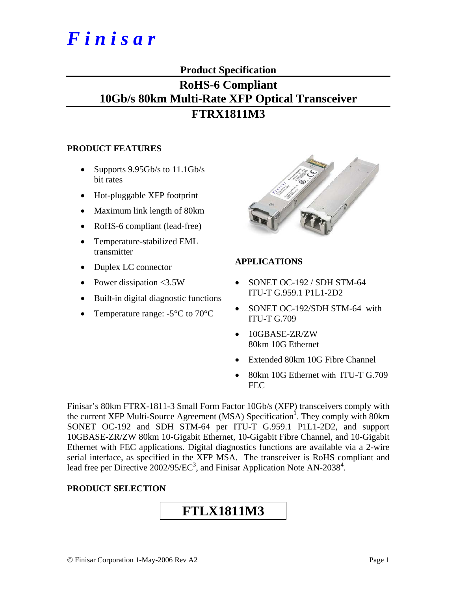# *F i n i s a r*

# **Product Specification**

# **RoHS-6 Compliant 10Gb/s 80km Multi-Rate XFP Optical Transceiver FTRX1811M3**

# **PRODUCT FEATURES**

- Supports  $9.95Gb/s$  to  $11.1Gb/s$ bit rates
- Hot-pluggable XFP footprint
- Maximum link length of 80km
- RoHS-6 compliant (lead-free)
- Temperature-stabilized EML transmitter
- Duplex LC connector
- Power dissipation <3.5W
- Built-in digital diagnostic functions
- Temperature range: -5<sup>o</sup>C to 70<sup>o</sup>C



# **APPLICATIONS**

- SONET OC-192 / SDH STM-64 ITU-T G.959.1 P1L1-2D2
- SONET OC-192/SDH STM-64 with ITU-T G.709
- 10GBASE-ZR/ZW 80km 10G Ethernet
- Extended 80km 10G Fibre Channel
- 80km 10G Ethernet with ITU-T G.709 FEC

Finisar's 80km FTRX-1811-3 Small Form Factor 10Gb/s (XFP) transceivers comply with the current XFP Multi-Source Agreement (MSA) Specification<sup>1</sup>. They comply with 80km SONET OC-192 and SDH STM-64 per ITU-T G.959.1 P1L1-2D2, and support 10GBASE-ZR/ZW 80km 10-Gigabit Ethernet, 10-Gigabit Fibre Channel, and 10-Gigabit Ethernet with FEC applications. Digital diagnostics functions are available via a 2-wire serial interface, as specified in the XFP MSA. The transceiver is RoHS compliant and lead free per Directive  $2002/95/EC^3$ , and Finisar Application Note AN-2038<sup>4</sup>.

# **PRODUCT SELECTION**

# **FTLX1811M3**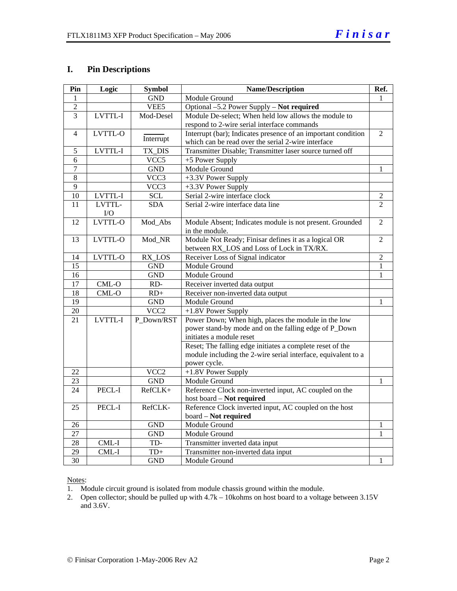# **I. Pin Descriptions**

| Pin             | Logic   | <b>Symbol</b>    | <b>Name/Description</b>                                       | Ref.           |
|-----------------|---------|------------------|---------------------------------------------------------------|----------------|
| 1               |         | <b>GND</b>       | Module Ground                                                 | 1              |
| $\overline{2}$  |         | VEE5             | Optional -5.2 Power Supply - Not required                     |                |
| 3               | LVTTL-I | Mod-Desel        | Module De-select; When held low allows the module to          |                |
|                 |         |                  | respond to 2-wire serial interface commands                   |                |
| $\overline{4}$  | LVTTL-O | Interrupt        | Interrupt (bar); Indicates presence of an important condition | $\overline{2}$ |
|                 |         |                  | which can be read over the serial 2-wire interface            |                |
| $\mathfrak s$   | LVTTL-I | TX_DIS           | Transmitter Disable; Transmitter laser source turned off      |                |
| 6               |         | VCC5             | +5 Power Supply                                               |                |
| $\overline{7}$  |         | <b>GND</b>       | Module Ground                                                 | 1              |
| $\overline{8}$  |         | VCC3             | +3.3V Power Supply                                            |                |
| 9               |         | VCC3             | +3.3V Power Supply                                            |                |
| $\overline{10}$ | LVTTL-I | <b>SCL</b>       | Serial 2-wire interface clock                                 | $\overline{2}$ |
| 11              | LVTTL-  | <b>SDA</b>       | Serial 2-wire interface data line                             | $\overline{2}$ |
|                 | I/O     |                  |                                                               |                |
| 12              | LVTTL-O | Mod Abs          | Module Absent; Indicates module is not present. Grounded      | $\overline{2}$ |
|                 |         |                  | in the module.                                                |                |
| 13              | LVTTL-O | Mod_NR           | Module Not Ready; Finisar defines it as a logical OR          | $\overline{2}$ |
|                 |         |                  | between RX_LOS and Loss of Lock in TX/RX.                     |                |
| 14              | LVTTL-O | RX LOS           | Receiver Loss of Signal indicator                             | $\overline{2}$ |
| $\overline{15}$ |         | <b>GND</b>       | Module Ground                                                 | $\mathbf{1}$   |
| 16              |         | <b>GND</b>       | Module Ground                                                 | 1              |
| 17              | $CML-O$ | RD-              | Receiver inverted data output                                 |                |
| 18              | $CML-O$ | $RD+$            | Receiver non-inverted data output                             |                |
| 19              |         | <b>GND</b>       | Module Ground                                                 | 1              |
| 20              |         | VCC <sub>2</sub> | +1.8V Power Supply                                            |                |
| 21              | LVTTL-I | P Down/RST       | Power Down; When high, places the module in the low           |                |
|                 |         |                  | power stand-by mode and on the falling edge of P_Down         |                |
|                 |         |                  | initiates a module reset                                      |                |
|                 |         |                  | Reset; The falling edge initiates a complete reset of the     |                |
|                 |         |                  | module including the 2-wire serial interface, equivalent to a |                |
|                 |         |                  | power cycle.                                                  |                |
| 22              |         | VCC <sub>2</sub> | +1.8V Power Supply                                            |                |
| 23              |         | <b>GND</b>       | Module Ground                                                 | 1              |
| 24              | PECL-I  | RefCLK+          | Reference Clock non-inverted input, AC coupled on the         |                |
|                 |         |                  | host board - Not required                                     |                |
| 25              | PECL-I  | RefCLK-          | Reference Clock inverted input, AC coupled on the host        |                |
|                 |         |                  | board - Not required                                          |                |
| 26              |         | <b>GND</b>       | Module Ground                                                 | $\mathbf{1}$   |
| 27              |         | <b>GND</b>       | Module Ground                                                 | 1              |
| $\overline{28}$ | $CML-I$ | TD-              | Transmitter inverted data input                               |                |
| 29              | CML-I   | $TD+$            | Transmitter non-inverted data input                           |                |
| 30              |         | <b>GND</b>       | Module Ground                                                 | 1              |

# Notes:

1. Module circuit ground is isolated from module chassis ground within the module.

2. Open collector; should be pulled up with 4.7k – 10kohms on host board to a voltage between 3.15V and 3.6V.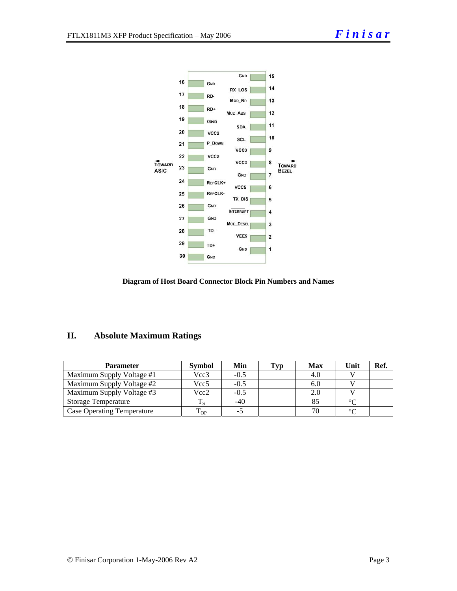

#### **Diagram of Host Board Connector Block Pin Numbers and Names**

# **II. Absolute Maximum Ratings**

| Parameter                         | <b>Symbol</b> | Min    | Typ | <b>Max</b> | Unit    | Ref. |
|-----------------------------------|---------------|--------|-----|------------|---------|------|
| Maximum Supply Voltage #1         | Vcc3          | $-0.5$ |     | 4.0        |         |      |
| Maximum Supply Voltage #2         | Vcc5          | $-0.5$ |     | 6.0        |         |      |
| Maximum Supply Voltage #3         | Vcc2          | $-0.5$ |     | 2.0        |         |      |
| <b>Storage Temperature</b>        |               | -40    |     |            | $\circ$ |      |
| <b>Case Operating Temperature</b> | l OP          |        |     |            | $\sim$  |      |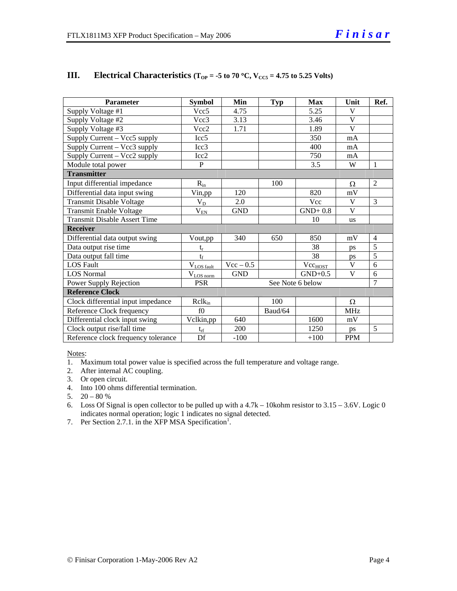| <b>Parameter</b>                    | <b>Symbol</b>       | Min              | <b>Typ</b> | <b>Max</b>          | Unit         | Ref.           |  |
|-------------------------------------|---------------------|------------------|------------|---------------------|--------------|----------------|--|
| Supply Voltage #1                   | Vcc <sub>5</sub>    | 4.75             |            | 5.25                | V            |                |  |
| Supply Voltage #2                   | Vcc3                | 3.13             |            | 3.46                | V            |                |  |
| Supply Voltage #3                   | Vcc2                | 1.71             |            | 1.89                | $\mathbf{V}$ |                |  |
| Supply Current - Vcc5 supply        | Icc <sub>5</sub>    |                  |            | 350                 | mA           |                |  |
| Supply Current – Vcc3 supply        | Icc3                |                  |            | 400                 | mA           |                |  |
| Supply Current - Vcc2 supply        | Icc <sub>2</sub>    |                  |            | 750                 | mA           |                |  |
| Module total power                  | $\mathbf{P}$        |                  |            | 3.5                 | W            | $\overline{1}$ |  |
| <b>Transmitter</b>                  |                     |                  |            |                     |              |                |  |
| Input differential impedance        | $R_{in}$            |                  | 100        |                     | Ω            | 2              |  |
| Differential data input swing       | Vin,pp              | 120              |            | 820                 | mV           |                |  |
| <b>Transmit Disable Voltage</b>     | $V_D$               | 2.0              |            | <b>Vcc</b>          | V            | 3              |  |
| Transmit Enable Voltage             | $\rm V_{\rm EN}$    | <b>GND</b>       |            | $GND+0.8$           | V            |                |  |
| <b>Transmit Disable Assert Time</b> |                     |                  |            | 10                  | <b>us</b>    |                |  |
| <b>Receiver</b>                     |                     |                  |            |                     |              |                |  |
| Differential data output swing      | Vout,pp             | 340              | 650        | 850                 | mV           | $\overline{4}$ |  |
| Data output rise time               | $t_r$               |                  |            | 38                  | ps           | 5              |  |
| Data output fall time               | $t_{\rm f}$         |                  |            | 38                  | ps           | 5              |  |
| <b>LOS Fault</b>                    | $V_{LOS\ fault}$    | $Vec - 0.5$      |            | Vec <sub>HOST</sub> | V            | 6              |  |
| <b>LOS</b> Normal                   | $\rm V_{LOS\,norm}$ | <b>GND</b>       |            | $GND+0.5$           | V            | 6              |  |
| Power Supply Rejection              | <b>PSR</b>          | See Note 6 below |            |                     |              | $\overline{7}$ |  |
| <b>Reference Clock</b>              |                     |                  |            |                     |              |                |  |
| Clock differential input impedance  | $R$ cl $k_{in}$     |                  | 100        |                     | Ω            |                |  |
| Reference Clock frequency           | f()                 |                  | Baud/64    |                     | <b>MHz</b>   |                |  |
| Differential clock input swing      | Vclkin,pp           | 640              |            | 1600                | mV           |                |  |
| Clock output rise/fall time         | $t_{rf}$            | 200              |            | 1250                | ps           | 5              |  |
| Reference clock frequency tolerance | Df                  | $-100$           |            | $+100$              | <b>PPM</b>   |                |  |

# **III.** Electrical Characteristics ( $T_{OP} = -5$  to 70 °C,  $V_{CC5} = 4.75$  to 5.25 Volts)

Notes:

1. Maximum total power value is specified across the full temperature and voltage range.

- 2. After internal AC coupling.
- 3. Or open circuit.
- 4. Into 100 ohms differential termination.
- 5.  $20 80 %$
- 6. Loss Of Signal is open collector to be pulled up with a 4.7k 10kohm resistor to 3.15 3.6V. Logic 0 indicates normal operation; logic 1 indicates no signal detected.
- 7. Per Section 2.7.1. in the XFP MSA Specification<sup>1</sup>.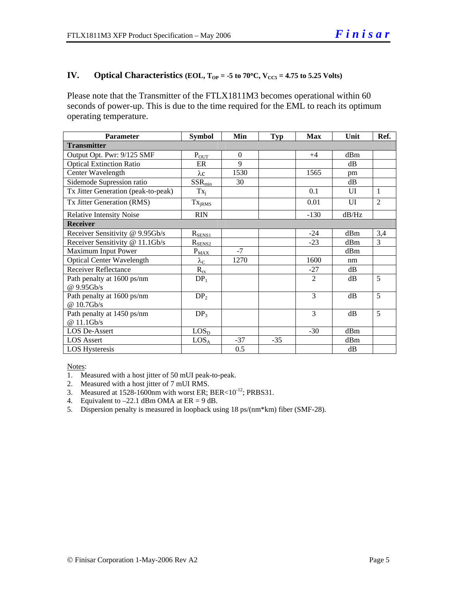# **IV.** Optical Characteristics (EOL,  $T_{OP} = -5$  to  $70^{\circ}$ C,  $V_{CC5} = 4.75$  to 5.25 Volts)

Please note that the Transmitter of the FTLX1811M3 becomes operational within 60 seconds of power-up. This is due to the time required for the EML to reach its optimum operating temperature.

| <b>Parameter</b>                         | <b>Symbol</b>          | Min      | <b>Typ</b> | <b>Max</b>     | Unit  | Ref.           |
|------------------------------------------|------------------------|----------|------------|----------------|-------|----------------|
| <b>Transmitter</b>                       |                        |          |            |                |       |                |
| Output Opt. Pwr: 9/125 SMF               | $P_{OUT}$              | $\Omega$ |            | $+4$           | dBm   |                |
| <b>Optical Extinction Ratio</b>          | ER                     | 9        |            |                | dB    |                |
| Center Wavelength                        | $\lambda c$            | 1530     |            | 1565           | pm    |                |
| Sidemode Supression ratio                | $SSR_{min}$            | 30       |            |                | dB    |                |
| Tx Jitter Generation (peak-to-peak)      | $Tx_i$                 |          |            | 0.1            | UI    | $\mathbf{1}$   |
| Tx Jitter Generation (RMS)               | Tx <sub>jRMS</sub>     |          |            | 0.01           | UI    | $\overline{2}$ |
| <b>Relative Intensity Noise</b>          | <b>RIN</b>             |          |            | $-130$         | dB/Hz |                |
| <b>Receiver</b>                          |                        |          |            |                |       |                |
| Receiver Sensitivity @ 9.95Gb/s          | $R_{SENS1}$            |          |            | $-24$          | dBm   | 3,4            |
| Receiver Sensitivity @ 11.1Gb/s          | $R_{\text{SENS2}}$     |          |            | $-23$          | dBm   | 3              |
| Maximum Input Power                      | $P_{MAX}$              | $-7$     |            |                | dBm   |                |
| <b>Optical Center Wavelength</b>         | $\lambda_{\mathrm{C}}$ | 1270     |            | 1600           | nm    |                |
| <b>Receiver Reflectance</b>              | $R_{rx}$               |          |            | $-27$          | dB    |                |
| Path penalty at 1600 ps/nm<br>@ 9.95Gb/s | DP <sub>1</sub>        |          |            | $\overline{2}$ | dB    | 5              |
| Path penalty at 1600 ps/nm<br>@10.7Gb/s  | DP <sub>2</sub>        |          |            | 3              | dB    | 5              |
| Path penalty at 1450 ps/nm<br>@ 11.1Gb/s | DP <sub>3</sub>        |          |            | 3              | dB    | 5              |
| <b>LOS De-Assert</b>                     | LOS <sub>D</sub>       |          |            | $-30$          | dBm   |                |
| <b>LOS</b> Assert                        | LOS <sub>A</sub>       | $-37$    | $-35$      |                | dBm   |                |
| <b>LOS</b> Hysteresis                    |                        | 0.5      |            |                | dB    |                |

Notes:

- 1. Measured with a host jitter of 50 mUI peak-to-peak.
- 2. Measured with a host jitter of 7 mUI RMS.
- 3. Measured at  $1528-1600$ nm with worst ER; BER< $10^{-12}$ ; PRBS31.
- 4. Equivalent to  $-22.1$  dBm OMA at ER = 9 dB.
- 5. Dispersion penalty is measured in loopback using 18 ps/(nm\*km) fiber (SMF-28).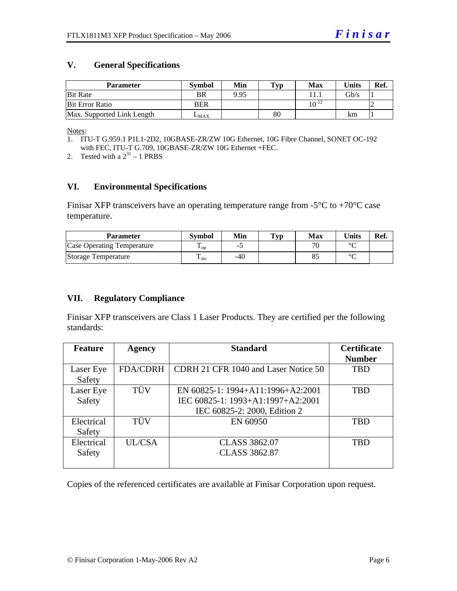### **V. General Specifications**

| <b>Parameter</b>           | Svmbol     | Min  | Typ | Max        | <b>Units</b> | Ref. |
|----------------------------|------------|------|-----|------------|--------------|------|
| <b>Bit Rate</b>            | BR         | 9.95 |     |            | Gb/s         |      |
| <b>Bit Error Ratio</b>     | <b>BER</b> |      |     | $10^{-12}$ |              |      |
| Max. Supported Link Length | $L_{MAX}$  |      | 80  |            | km           |      |

Notes:

2. Tested with a  $2^{31} - 1$  PRBS

#### **VI. Environmental Specifications**

Finisar XFP transceivers have an operating temperature range from  $-5^{\circ}$ C to  $+70^{\circ}$ C case temperature.

| Parameter                  | <b>Symbol</b> | Min | $\mathbf{T}_{\mathbf{V}\mathbf{p}}$ | Max                      | $\mathbf{v}_{\text{hits}}$ | Ref. |
|----------------------------|---------------|-----|-------------------------------------|--------------------------|----------------------------|------|
| Case Operating Temperature | L OD.         | -   |                                     | $\overline{\phantom{a}}$ | $\sim$                     |      |
| Storage Temperature        | m<br>▲ sto    | -40 |                                     | റാ                       | $\sim$                     |      |

### **VII. Regulatory Compliance**

Finisar XFP transceivers are Class 1 Laser Products. They are certified per the following standards:

| <b>Feature</b> | <b>Agency</b>   | <b>Standard</b>                      | <b>Certificate</b> |
|----------------|-----------------|--------------------------------------|--------------------|
|                |                 |                                      | <b>Number</b>      |
| Laser Eye      | <b>FDA/CDRH</b> | CDRH 21 CFR 1040 and Laser Notice 50 | <b>TBD</b>         |
| Safety         |                 |                                      |                    |
| Laser Eye      | TÜV             | EN 60825-1: 1994+A11:1996+A2:2001    | TBD                |
| Safety         |                 | IEC 60825-1: 1993+A1:1997+A2:2001    |                    |
|                |                 | IEC 60825-2: 2000, Edition 2         |                    |
| Electrical     | TÜV             | EN 60950                             | <b>TBD</b>         |
| Safety         |                 |                                      |                    |
| Electrical     | UL/CSA          | <b>CLASS 3862.07</b>                 | <b>TBD</b>         |
| Safety         |                 | <b>CLASS 3862.87</b>                 |                    |
|                |                 |                                      |                    |

Copies of the referenced certificates are available at Finisar Corporation upon request.

<sup>1.</sup> ITU-T G.959.1 P1L1-2D2, 10GBASE-ZR/ZW 10G Ethernet, 10G Fibre Channel, SONET OC-192 with FEC, ITU-T G.709, 10GBASE-ZR/ZW 10G Ethernet +FEC.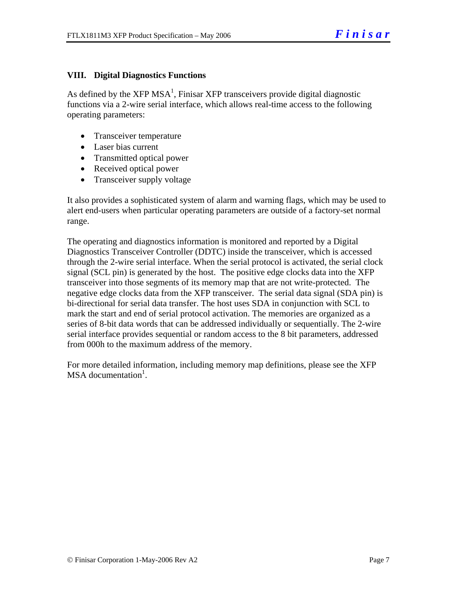# **VIII. Digital Diagnostics Functions**

As defined by the XFP MSA<sup>1</sup>, Finisar XFP transceivers provide digital diagnostic functions via a 2-wire serial interface, which allows real-time access to the following operating parameters:

- Transceiver temperature
- Laser bias current
- Transmitted optical power
- Received optical power
- Transceiver supply voltage

It also provides a sophisticated system of alarm and warning flags, which may be used to alert end-users when particular operating parameters are outside of a factory-set normal range.

The operating and diagnostics information is monitored and reported by a Digital Diagnostics Transceiver Controller (DDTC) inside the transceiver, which is accessed through the 2-wire serial interface. When the serial protocol is activated, the serial clock signal (SCL pin) is generated by the host. The positive edge clocks data into the XFP transceiver into those segments of its memory map that are not write-protected. The negative edge clocks data from the XFP transceiver. The serial data signal (SDA pin) is bi-directional for serial data transfer. The host uses SDA in conjunction with SCL to mark the start and end of serial protocol activation. The memories are organized as a series of 8-bit data words that can be addressed individually or sequentially. The 2-wire serial interface provides sequential or random access to the 8 bit parameters, addressed from 000h to the maximum address of the memory.

For more detailed information, including memory map definitions, please see the XFP MSA documentation<sup>1</sup>.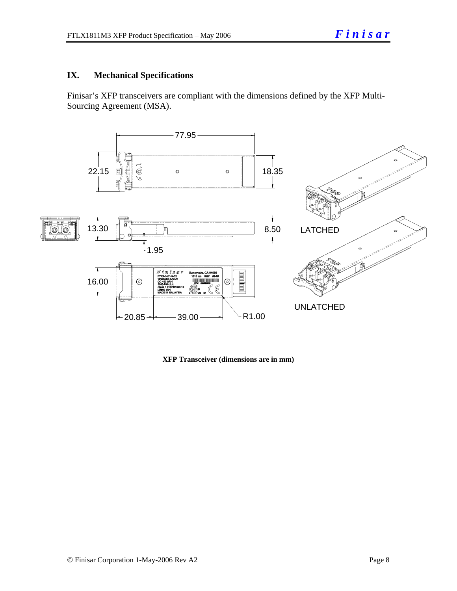# **IX. Mechanical Specifications**

Finisar's XFP transceivers are compliant with the dimensions defined by the XFP Multi-Sourcing Agreement (MSA).



**XFP Transceiver (dimensions are in mm)**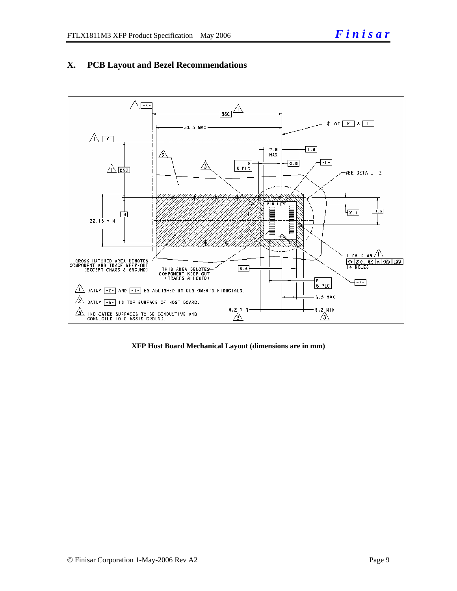

# **X. PCB Layout and Bezel Recommendations**

**XFP Host Board Mechanical Layout (dimensions are in mm)**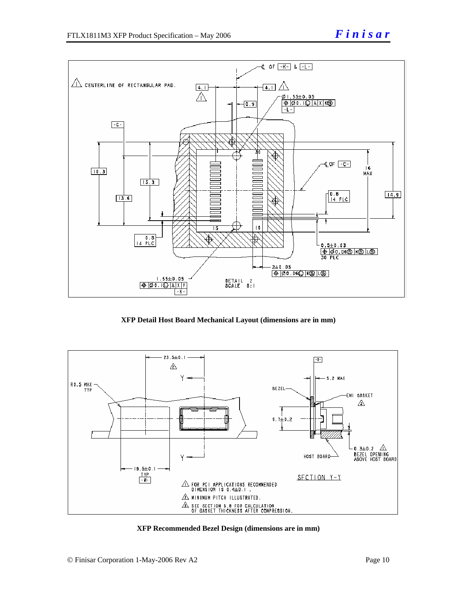

**XFP Detail Host Board Mechanical Layout (dimensions are in mm)** 



**XFP Recommended Bezel Design (dimensions are in mm)**